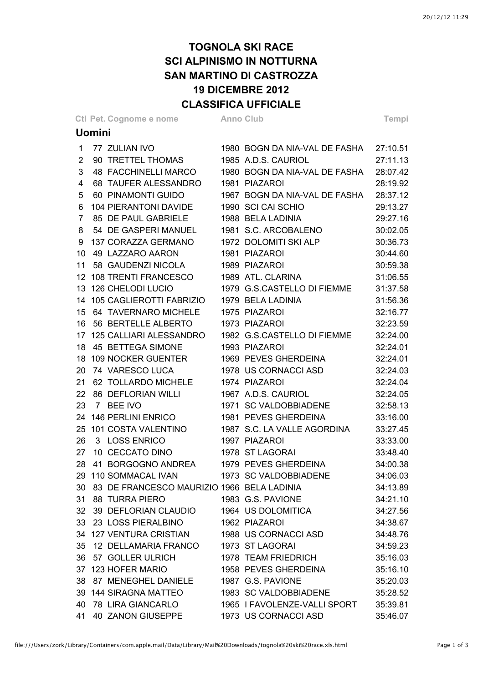## **TOGNOLA SKI RACE SCI ALPINISMO IN NOTTURNA SAN MARTINO DI CASTROZZA 19 DICEMBRE 2012 CLASSIFICA UFFICIALE**

|               | <b>CLASSIFICA UFFICIALE</b> |  |                                               |  |                                                            |                      |  |  |
|---------------|-----------------------------|--|-----------------------------------------------|--|------------------------------------------------------------|----------------------|--|--|
|               |                             |  | Ctl Pet. Cognome e nome Anno Club             |  |                                                            | Tempi                |  |  |
| <b>Uomini</b> |                             |  |                                               |  |                                                            |                      |  |  |
|               | $\mathbf{1}$                |  | 77 ZULIAN IVO                                 |  | 1980 BOGN DA NIA-VAL DE FASHA 27:10.51                     |                      |  |  |
|               | $\overline{2}$              |  | 90 TRETTEL THOMAS                             |  | 1985 A.D.S. CAURIOL                                        | 27:11.13             |  |  |
|               | 3                           |  | 48 FACCHINELLI MARCO                          |  | 1980 BOGN DA NIA-VAL DE FASHA                              | 28:07.42             |  |  |
|               | $\overline{4}$              |  | 68 TAUFER ALESSANDRO                          |  | 1981 PIAZAROI                                              | 28:19.92             |  |  |
|               | 5                           |  | 60 PINAMONTI GUIDO                            |  | 1967 BOGN DA NIA-VAL DE FASHA                              | 28:37.12             |  |  |
|               | 6                           |  | 104 PIERANTONI DAVIDE                         |  | 1990 SCI CAI SCHIO                                         | 29:13.27             |  |  |
|               | $\overline{7}$              |  | 85 DE PAUL GABRIELE                           |  | 1988 BELA LADINIA                                          | 29:27.16             |  |  |
|               | 8                           |  | 54 DE GASPERI MANUEL                          |  | 1981 S.C. ARCOBALENO                                       | 30:02.05             |  |  |
|               | 9                           |  | 137 CORAZZA GERMANO                           |  | 1972 DOLOMITI SKI ALP                                      | 30:36.73             |  |  |
|               |                             |  | 10 49 LAZZARO AARON                           |  | 1981 PIAZAROI                                              | 30:44.60             |  |  |
|               |                             |  | 11 58 GAUDENZI NICOLA                         |  | 1989 PIAZAROI                                              | 30:59.38             |  |  |
|               |                             |  |                                               |  | 12 108 TRENTI FRANCESCO 1989 ATL. CLARINA                  | 31:06.55             |  |  |
|               |                             |  |                                               |  | 13 126 CHELODI LUCIO 1979 G.S.CASTELLO DI FIEMME           | 31:37.58             |  |  |
|               |                             |  | 14 105 CAGLIEROTTI FABRIZIO                   |  | 1979 BELA LADINIA                                          | 31:56.36             |  |  |
|               |                             |  | 15 64 TAVERNARO MICHELE                       |  | 1975 PIAZAROI                                              | 32:16.77             |  |  |
|               |                             |  | 16 56 BERTELLE ALBERTO                        |  | 1973 PIAZAROI                                              | 32:23.59             |  |  |
|               |                             |  | 17 125 CALLIARI ALESSANDRO                    |  | 1982 G.S.CASTELLO DI FIEMME                                | 32:24.00             |  |  |
|               |                             |  | 18 45 BETTEGA SIMONE                          |  | 1993 PIAZAROI                                              | 32:24.01             |  |  |
|               |                             |  | 18 109 NOCKER GUENTER                         |  | 1969 PEVES GHERDEINA                                       | 32:24.01             |  |  |
|               |                             |  | 20 74 VARESCO LUCA                            |  | 1978 US CORNACCI ASD                                       | 32:24.03             |  |  |
|               |                             |  | 21 62 TOLLARDO MICHELE                        |  | 1974 PIAZAROI                                              | 32:24.04             |  |  |
|               | 22                          |  | 86 DEFLORIAN WILLI                            |  | 1967 A.D.S. CAURIOL                                        | 32:24.05             |  |  |
|               | 23                          |  | 7 BEE IVO                                     |  | 1971 SC VALDOBBIADENE                                      | 32:58.13             |  |  |
|               |                             |  | 24 146 PERLINI ENRICO                         |  | 1981 PEVES GHERDEINA                                       | 33:16.00             |  |  |
|               |                             |  |                                               |  | 25 101 COSTA VALENTINO 1987 S.C. LA VALLE AGORDINA         | 33:27.45             |  |  |
|               |                             |  | 26 3 LOSS ENRICO                              |  | 1997 PIAZAROI                                              | 33:33.00             |  |  |
|               |                             |  | 27 10 CECCATO DINO 1978 ST LAGORAI            |  |                                                            | 33:48.40             |  |  |
|               |                             |  |                                               |  | 28   41 BORGOGNO ANDREA   1979 PEVES GHERDEINA             | 34:00.38             |  |  |
|               |                             |  |                                               |  | 29 110 SOMMACAL IVAN 1973 SC VALDOBBIADENE                 | 34:06.03             |  |  |
|               |                             |  | 30 83 DE FRANCESCO MAURIZIO 1966 BELA LADINIA |  |                                                            | 34:13.89             |  |  |
|               |                             |  | 31 88 TURRA PIERO 1983 G.S. PAVIONE           |  |                                                            | 34:21.10             |  |  |
|               |                             |  |                                               |  | 32 39 DEFLORIAN CLAUDIO 1964 US DOLOMITICA                 | 34:27.56             |  |  |
|               |                             |  | 33 23 LOSS PIERALBINO 1962 PIAZAROI           |  |                                                            | 34:38.67             |  |  |
|               |                             |  |                                               |  | 34 127 VENTURA CRISTIAN 1988 US CORNACCI ASD               | 34:48.76             |  |  |
|               |                             |  | 35 12 DELLAMARIA FRANCO 1973 ST LAGORAI       |  |                                                            | 34:59.23             |  |  |
|               |                             |  | 36 57 GOLLER ULRICH                           |  | 1978 TEAM FRIEDRICH                                        | 35:16.03<br>35:16.10 |  |  |
|               |                             |  | 38 87 MENEGHEL DANIELE 1987 G.S. PAVIONE      |  | 37 123 HOFER MARIO 4958 PEVES GHERDEINA                    | 35:20.03             |  |  |
|               |                             |  |                                               |  | 39 144 SIRAGNA MATTEO 1983 SC VALDOBBIADENE                | 35:28.52             |  |  |
|               |                             |  |                                               |  |                                                            |                      |  |  |
|               |                             |  |                                               |  | 40 78 LIRA GIANCARLO 1965 I FAVOLENZE-VALLI SPORT 35:39.81 |                      |  |  |

41 40 ZANON GIUSEPPE 1973 US CORNACCI ASD 35:46.07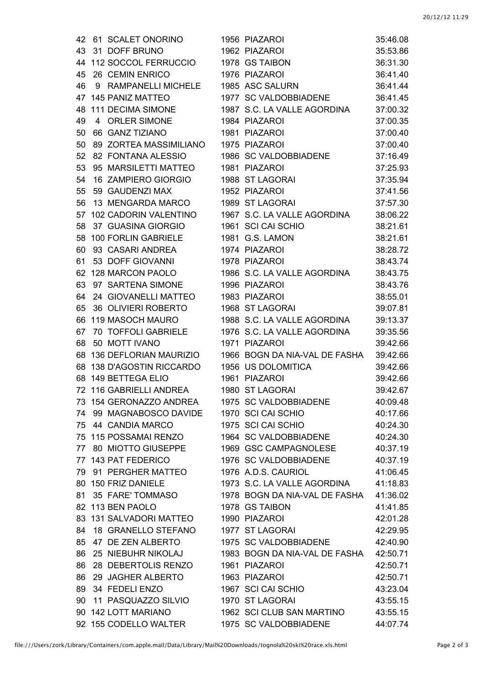| 42 | 61 SCALET ONORINO                   | 1956 PIAZAROI                 | 35:46.08             |
|----|-------------------------------------|-------------------------------|----------------------|
| 43 | 31 DOFF BRUNO                       | 1962 PIAZAROI                 | 35:53.86             |
| 44 | 112 SOCCOL FERRUCCIO 1978 GS TAIBON |                               | 36:31.30             |
| 45 | 26 CEMIN ENRICO                     | 1976 PIAZAROI                 | 36:41.40             |
| 46 | RAMPANELLI MICHELE<br>9             | 1985 ASC SALURN               | 36:41.44             |
|    | 47 145 PANIZ MATTEO                 | 1977 SC VALDOBBIADENE         | 36:41.45             |
| 48 | 111 DECIMA SIMONE                   | 1987 S.C. LA VALLE AGORDINA   | 37:00.32             |
| 49 | 4 ORLER SIMONE                      | 1984 PIAZAROI                 | 37:00.35             |
| 50 | 66 GANZ TIZIANO                     | 1981 PIAZAROI                 | 37:00.40             |
| 50 | 89 ZORTEA MASSIMILIANO              | 1975 PIAZAROI                 | 37:00.40             |
| 52 | 82 FONTANA ALESSIO                  | 1986 SC VALDOBBIADENE         | 37:16.49             |
| 53 | 95 MARSILETTI MATTEO                | 1981 PIAZAROI                 | 37:25.93             |
| 54 | 16 ZAMPIERO GIORGIO                 | 1988 ST LAGORAI               | 37:35.94             |
| 55 | 59 GAUDENZI MAX                     | 1952 PIAZAROI                 | 37:41.56             |
| 56 | 13 MENGARDA MARCO                   | 1989 ST LAGORAI               | 37:57.30             |
| 57 | <b>102 CADORIN VALENTINO</b>        | 1967 S.C. LA VALLE AGORDINA   | 38:06.22             |
| 58 | 37 GUASINA GIORGIO                  | 1961 SCI CAI SCHIO            | 38:21.61             |
| 58 | 100 FORLIN GABRIELE                 | 1981 G.S. LAMON               | 38:21.61             |
| 60 | 93 CASARI ANDREA                    | 1974 PIAZAROI                 | 38:28.72             |
| 61 | 53 DOFF GIOVANNI                    | 1978 PIAZAROI                 | 38:43.74             |
| 62 | 128 MARCON PAOLO                    | 1986 S.C. LA VALLE AGORDINA   | 38:43.75             |
| 63 | 97 SARTENA SIMONE                   | 1996 PIAZAROI                 | 38:43.76             |
| 64 | 24 GIOVANELLI MATTEO                | 1983 PIAZAROI                 | 38:55.01             |
| 65 | 36 OLIVIERI ROBERTO                 | 1968 ST LAGORAI               | 39:07.81             |
| 66 | 119 MASOCH MAURO                    | 1988 S.C. LA VALLE AGORDINA   | 39:13.37             |
| 67 | 70 TOFFOLI GABRIELE                 | 1976 S.C. LA VALLE AGORDINA   | 39:35.56             |
| 68 | 50 MOTT IVANO                       | 1971 PIAZAROI                 | 39:42.66             |
|    | 68 136 DEFLORIAN MAURIZIO           | 1966 BOGN DA NIA-VAL DE FASHA | 39:42.66             |
| 68 | 138 D'AGOSTIN RICCARDO              | 1956 US DOLOMITICA            | 39:42.66             |
| 68 | 149 BETTEGA ELIO                    | 1961 PIAZAROI                 | 39:42.66             |
|    | 72 116 GABRIELLI ANDREA             | 1980 ST LAGORAI               | 39:42.67             |
|    | 154 GERONAZZO ANDREA                | 1975 SC VALDOBBIADENE         | 40:09.48             |
| 74 | 99 MAGNABOSCO DAVIDE                | 1970 SCI CAI SCHIO            | 40:17.66             |
|    | 75 44 CANDIA MARCO                  | 1975 SCI CAI SCHIO            | 40:24.30             |
|    | 75 115 POSSAMAI RENZO               | 1964 SC VALDOBBIADENE         | 40:24.30             |
|    | 77 80 MIOTTO GIUSEPPE               | 1969 GSC CAMPAGNOLESE         | 40:37.19             |
|    | 77 143 PAT FEDERICO                 | 1976 SC VALDOBBIADENE         | 40:37.19             |
|    | 79 91 PERGHER MATTEO                | 1976 A.D.S. CAURIOL           | 41:06.45             |
|    | 80 150 FRIZ DANIELE                 | 1973 S.C. LA VALLE AGORDINA   | 41:18.83             |
| 81 | 35 FARE' TOMMASO                    | 1978 BOGN DA NIA-VAL DE FASHA | 41:36.02             |
|    | 82 113 BEN PAOLO                    | 1978 GS TAIBON                | 41:41.85             |
| 83 | 131 SALVADORI MATTEO                | 1990 PIAZAROI                 | 42:01.28             |
| 84 | 18 GRANELLO STEFANO                 | 1977 ST LAGORAI               | 42:29.95             |
| 85 | 47 DE ZEN ALBERTO                   | 1975 SC VALDOBBIADENE         | 42:40.90             |
| 86 | 25 NIEBUHR NIKOLAJ                  | 1983 BOGN DA NIA-VAL DE FASHA | 42:50.71             |
| 86 | 28 DEBERTOLIS RENZO                 | 1961 PIAZAROI                 | 42:50.71             |
| 86 | 29 JAGHER ALBERTO                   | 1963 PIAZAROI                 | 42:50.71             |
| 89 | 34 FEDELI ENZO                      | 1967 SCI CAI SCHIO            |                      |
| 90 | 11 PASQUAZZO SILVIO                 | 1970 ST LAGORAI               | 43:23.04<br>43:55.15 |
|    | 90 142 LOTT MARIANO                 | 1962 SCI CLUB SAN MARTINO     |                      |
|    |                                     |                               | 43:55.15             |
|    | 92 155 CODELLO WALTER               | 1975 SC VALDOBBIADENE         | 44:07.74             |